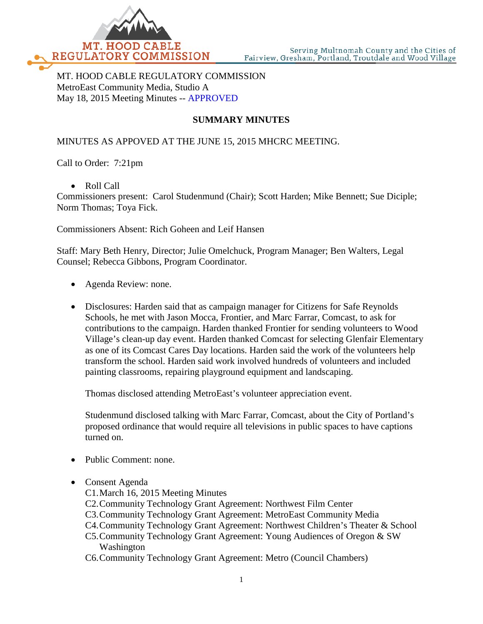

MT. HOOD CABLE REGULATORY COMMISSION MetroEast Community Media, Studio A May 18, 2015 Meeting Minutes -- APPROVED

# **SUMMARY MINUTES**

#### MINUTES AS APPOVED AT THE JUNE 15, 2015 MHCRC MEETING.

Call to Order: 7:21pm

• Roll Call

Commissioners present: Carol Studenmund (Chair); Scott Harden; Mike Bennett; Sue Diciple; Norm Thomas; Toya Fick.

Commissioners Absent: Rich Goheen and Leif Hansen

Staff: Mary Beth Henry, Director; Julie Omelchuck, Program Manager; Ben Walters, Legal Counsel; Rebecca Gibbons, Program Coordinator.

- Agenda Review: none.
- Disclosures: Harden said that as campaign manager for Citizens for Safe Reynolds Schools, he met with Jason Mocca, Frontier, and Marc Farrar, Comcast, to ask for contributions to the campaign. Harden thanked Frontier for sending volunteers to Wood Village's clean-up day event. Harden thanked Comcast for selecting Glenfair Elementary as one of its Comcast Cares Day locations. Harden said the work of the volunteers help transform the school. Harden said work involved hundreds of volunteers and included painting classrooms, repairing playground equipment and landscaping.

Thomas disclosed attending MetroEast's volunteer appreciation event.

Studenmund disclosed talking with Marc Farrar, Comcast, about the City of Portland's proposed ordinance that would require all televisions in public spaces to have captions turned on.

- Public Comment: none.
- Consent Agenda
	- C1.March 16, 2015 Meeting Minutes
	- C2.Community Technology Grant Agreement: Northwest Film Center
	- C3.Community Technology Grant Agreement: MetroEast Community Media
	- C4.Community Technology Grant Agreement: Northwest Children's Theater & School
	- C5.Community Technology Grant Agreement: Young Audiences of Oregon & SW Washington
	- C6.Community Technology Grant Agreement: Metro (Council Chambers)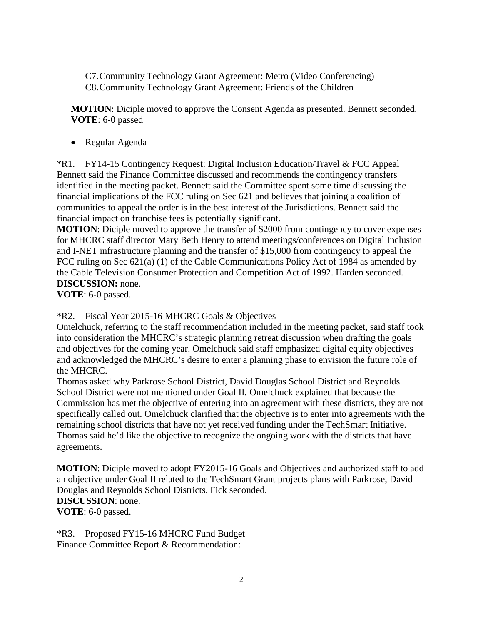C7.Community Technology Grant Agreement: Metro (Video Conferencing) C8.Community Technology Grant Agreement: Friends of the Children

**MOTION**: Diciple moved to approve the Consent Agenda as presented. Bennett seconded. **VOTE**: 6-0 passed

• Regular Agenda

\*R1. FY14-15 Contingency Request: Digital Inclusion Education/Travel & FCC Appeal Bennett said the Finance Committee discussed and recommends the contingency transfers identified in the meeting packet. Bennett said the Committee spent some time discussing the financial implications of the FCC ruling on Sec 621 and believes that joining a coalition of communities to appeal the order is in the best interest of the Jurisdictions. Bennett said the financial impact on franchise fees is potentially significant.

**MOTION**: Diciple moved to approve the transfer of \$2000 from contingency to cover expenses for MHCRC staff director Mary Beth Henry to attend meetings/conferences on Digital Inclusion and I-NET infrastructure planning and the transfer of \$15,000 from contingency to appeal the FCC ruling on Sec 621(a) (1) of the Cable Communications Policy Act of 1984 as amended by the Cable Television Consumer Protection and Competition Act of 1992. Harden seconded. **DISCUSSION:** none.

**VOTE**: 6-0 passed.

\*R2. Fiscal Year 2015-16 MHCRC Goals & Objectives

Omelchuck, referring to the staff recommendation included in the meeting packet, said staff took into consideration the MHCRC's strategic planning retreat discussion when drafting the goals and objectives for the coming year. Omelchuck said staff emphasized digital equity objectives and acknowledged the MHCRC's desire to enter a planning phase to envision the future role of the MHCRC.

Thomas asked why Parkrose School District, David Douglas School District and Reynolds School District were not mentioned under Goal II. Omelchuck explained that because the Commission has met the objective of entering into an agreement with these districts, they are not specifically called out. Omelchuck clarified that the objective is to enter into agreements with the remaining school districts that have not yet received funding under the TechSmart Initiative. Thomas said he'd like the objective to recognize the ongoing work with the districts that have agreements.

**MOTION**: Diciple moved to adopt FY2015-16 Goals and Objectives and authorized staff to add an objective under Goal II related to the TechSmart Grant projects plans with Parkrose, David Douglas and Reynolds School Districts. Fick seconded. **DISCUSSION**: none. **VOTE**: 6-0 passed.

\*R3. Proposed FY15-16 MHCRC Fund Budget Finance Committee Report & Recommendation: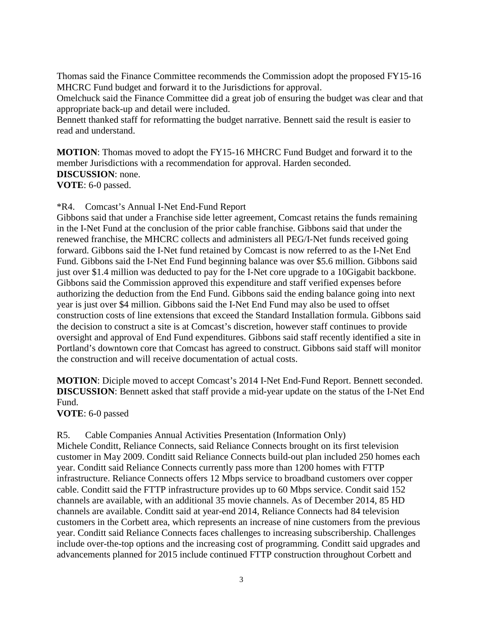Thomas said the Finance Committee recommends the Commission adopt the proposed FY15-16 MHCRC Fund budget and forward it to the Jurisdictions for approval.

Omelchuck said the Finance Committee did a great job of ensuring the budget was clear and that appropriate back-up and detail were included.

Bennett thanked staff for reformatting the budget narrative. Bennett said the result is easier to read and understand.

**MOTION**: Thomas moved to adopt the FY15-16 MHCRC Fund Budget and forward it to the member Jurisdictions with a recommendation for approval. Harden seconded. **DISCUSSION**: none. **VOTE**: 6-0 passed.

\*R4. Comcast's Annual I-Net End-Fund Report

Gibbons said that under a Franchise side letter agreement, Comcast retains the funds remaining in the I-Net Fund at the conclusion of the prior cable franchise. Gibbons said that under the renewed franchise, the MHCRC collects and administers all PEG/I-Net funds received going forward. Gibbons said the I-Net fund retained by Comcast is now referred to as the I-Net End Fund. Gibbons said the I-Net End Fund beginning balance was over \$5.6 million. Gibbons said just over \$1.4 million was deducted to pay for the I-Net core upgrade to a 10Gigabit backbone. Gibbons said the Commission approved this expenditure and staff verified expenses before authorizing the deduction from the End Fund. Gibbons said the ending balance going into next year is just over \$4 million. Gibbons said the I-Net End Fund may also be used to offset construction costs of line extensions that exceed the Standard Installation formula. Gibbons said the decision to construct a site is at Comcast's discretion, however staff continues to provide oversight and approval of End Fund expenditures. Gibbons said staff recently identified a site in Portland's downtown core that Comcast has agreed to construct. Gibbons said staff will monitor the construction and will receive documentation of actual costs.

**MOTION**: Diciple moved to accept Comcast's 2014 I-Net End-Fund Report. Bennett seconded. **DISCUSSION**: Bennett asked that staff provide a mid-year update on the status of the I-Net End Fund.

**VOTE**: 6-0 passed

R5. Cable Companies Annual Activities Presentation (Information Only)

Michele Conditt, Reliance Connects, said Reliance Connects brought on its first television customer in May 2009. Conditt said Reliance Connects build-out plan included 250 homes each year. Conditt said Reliance Connects currently pass more than 1200 homes with FTTP infrastructure. Reliance Connects offers 12 Mbps service to broadband customers over copper cable. Conditt said the FTTP infrastructure provides up to 60 Mbps service. Condit said 152 channels are available, with an additional 35 movie channels. As of December 2014, 85 HD channels are available. Conditt said at year-end 2014, Reliance Connects had 84 television customers in the Corbett area, which represents an increase of nine customers from the previous year. Conditt said Reliance Connects faces challenges to increasing subscribership. Challenges include over-the-top options and the increasing cost of programming. Conditt said upgrades and advancements planned for 2015 include continued FTTP construction throughout Corbett and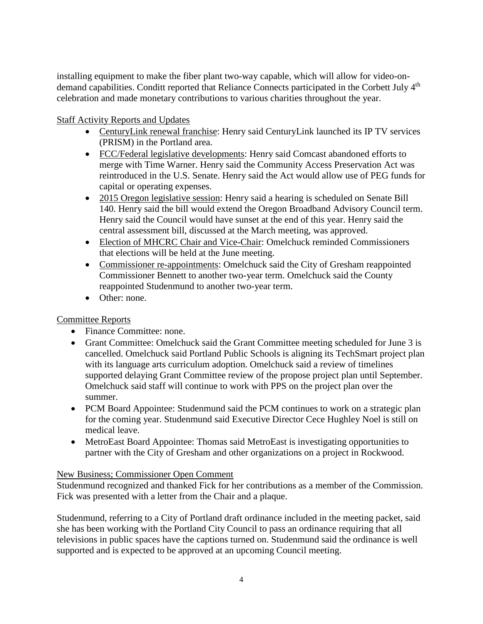installing equipment to make the fiber plant two-way capable, which will allow for video-ondemand capabilities. Conditt reported that Reliance Connects participated in the Corbett July 4<sup>th</sup> celebration and made monetary contributions to various charities throughout the year.

## Staff Activity Reports and Updates

- CenturyLink renewal franchise: Henry said CenturyLink launched its IP TV services (PRISM) in the Portland area.
- FCC/Federal legislative developments: Henry said Comcast abandoned efforts to merge with Time Warner. Henry said the Community Access Preservation Act was reintroduced in the U.S. Senate. Henry said the Act would allow use of PEG funds for capital or operating expenses.
- 2015 Oregon legislative session: Henry said a hearing is scheduled on Senate Bill 140. Henry said the bill would extend the Oregon Broadband Advisory Council term. Henry said the Council would have sunset at the end of this year. Henry said the central assessment bill, discussed at the March meeting, was approved.
- Election of MHCRC Chair and Vice-Chair: Omelchuck reminded Commissioners that elections will be held at the June meeting.
- Commissioner re-appointments: Omelchuck said the City of Gresham reappointed Commissioner Bennett to another two-year term. Omelchuck said the County reappointed Studenmund to another two-year term.
- Other: none.

## Committee Reports

- Finance Committee: none.
- Grant Committee: Omelchuck said the Grant Committee meeting scheduled for June 3 is cancelled. Omelchuck said Portland Public Schools is aligning its TechSmart project plan with its language arts curriculum adoption. Omelchuck said a review of timelines supported delaying Grant Committee review of the propose project plan until September. Omelchuck said staff will continue to work with PPS on the project plan over the summer.
- PCM Board Appointee: Studenmund said the PCM continues to work on a strategic plan for the coming year. Studenmund said Executive Director Cece Hughley Noel is still on medical leave.
- MetroEast Board Appointee: Thomas said MetroEast is investigating opportunities to partner with the City of Gresham and other organizations on a project in Rockwood.

## New Business; Commissioner Open Comment

Studenmund recognized and thanked Fick for her contributions as a member of the Commission. Fick was presented with a letter from the Chair and a plaque.

Studenmund, referring to a City of Portland draft ordinance included in the meeting packet, said she has been working with the Portland City Council to pass an ordinance requiring that all televisions in public spaces have the captions turned on. Studenmund said the ordinance is well supported and is expected to be approved at an upcoming Council meeting.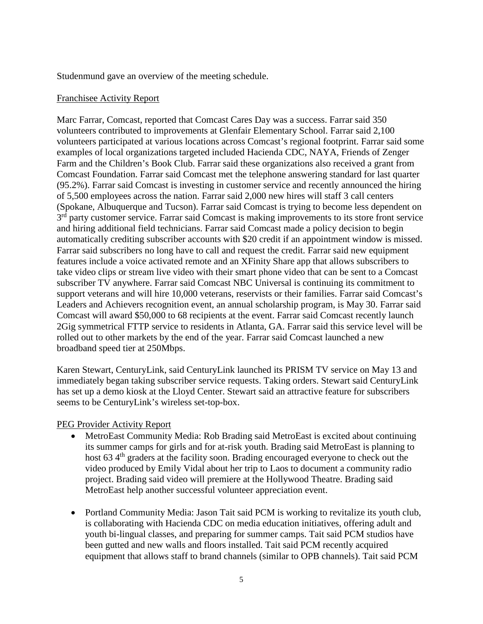Studenmund gave an overview of the meeting schedule.

#### Franchisee Activity Report

Marc Farrar, Comcast, reported that Comcast Cares Day was a success. Farrar said 350 volunteers contributed to improvements at Glenfair Elementary School. Farrar said 2,100 volunteers participated at various locations across Comcast's regional footprint. Farrar said some examples of local organizations targeted included Hacienda CDC, NAYA, Friends of Zenger Farm and the Children's Book Club. Farrar said these organizations also received a grant from Comcast Foundation. Farrar said Comcast met the telephone answering standard for last quarter (95.2%). Farrar said Comcast is investing in customer service and recently announced the hiring of 5,500 employees across the nation. Farrar said 2,000 new hires will staff 3 call centers (Spokane, Albuquerque and Tucson). Farrar said Comcast is trying to become less dependent on 3<sup>rd</sup> party customer service. Farrar said Comcast is making improvements to its store front service and hiring additional field technicians. Farrar said Comcast made a policy decision to begin automatically crediting subscriber accounts with \$20 credit if an appointment window is missed. Farrar said subscribers no long have to call and request the credit. Farrar said new equipment features include a voice activated remote and an XFinity Share app that allows subscribers to take video clips or stream live video with their smart phone video that can be sent to a Comcast subscriber TV anywhere. Farrar said Comcast NBC Universal is continuing its commitment to support veterans and will hire 10,000 veterans, reservists or their families. Farrar said Comcast's Leaders and Achievers recognition event, an annual scholarship program, is May 30. Farrar said Comcast will award \$50,000 to 68 recipients at the event. Farrar said Comcast recently launch 2Gig symmetrical FTTP service to residents in Atlanta, GA. Farrar said this service level will be rolled out to other markets by the end of the year. Farrar said Comcast launched a new broadband speed tier at 250Mbps.

Karen Stewart, CenturyLink, said CenturyLink launched its PRISM TV service on May 13 and immediately began taking subscriber service requests. Taking orders. Stewart said CenturyLink has set up a demo kiosk at the Lloyd Center. Stewart said an attractive feature for subscribers seems to be CenturyLink's wireless set-top-box.

#### PEG Provider Activity Report

- MetroEast Community Media: Rob Brading said MetroEast is excited about continuing its summer camps for girls and for at-risk youth. Brading said MetroEast is planning to host 63 4<sup>th</sup> graders at the facility soon. Brading encouraged everyone to check out the video produced by Emily Vidal about her trip to Laos to document a community radio project. Brading said video will premiere at the Hollywood Theatre. Brading said MetroEast help another successful volunteer appreciation event.
- Portland Community Media: Jason Tait said PCM is working to revitalize its youth club, is collaborating with Hacienda CDC on media education initiatives, offering adult and youth bi-lingual classes, and preparing for summer camps. Tait said PCM studios have been gutted and new walls and floors installed. Tait said PCM recently acquired equipment that allows staff to brand channels (similar to OPB channels). Tait said PCM